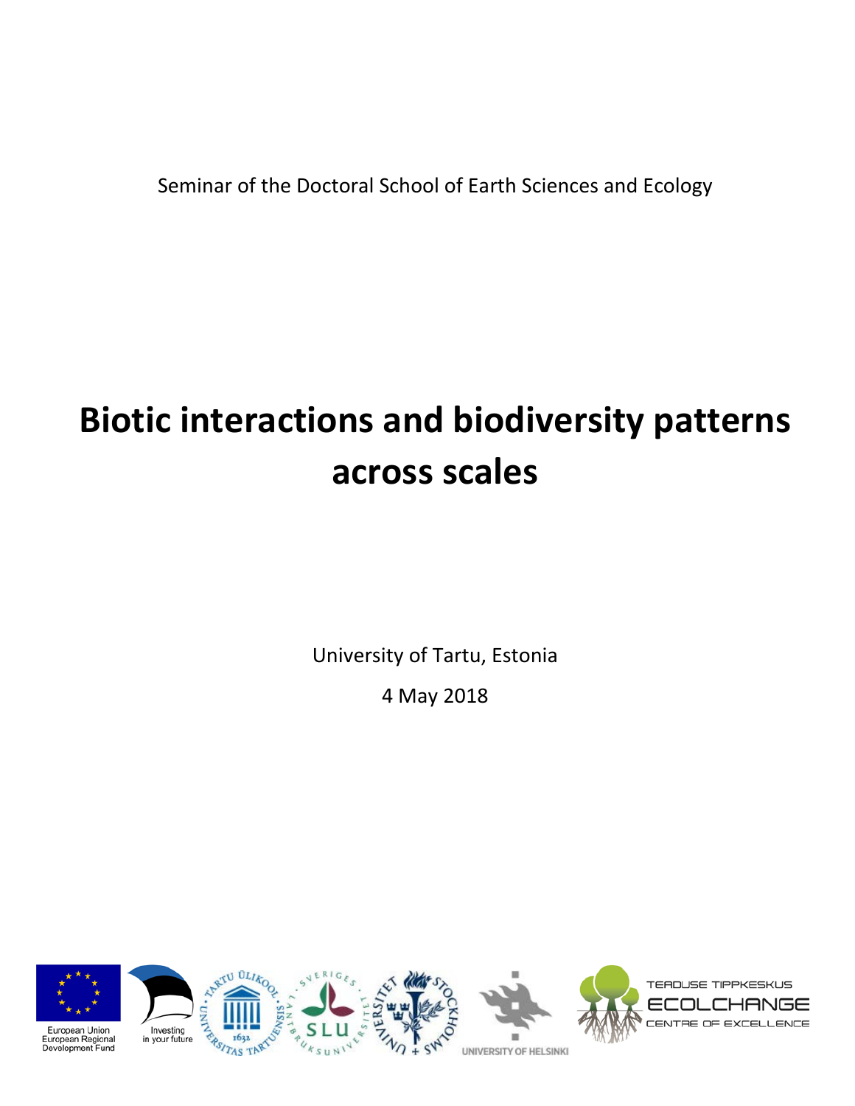Seminar of the Doctoral School of Earth Sciences and Ecology

# **Biotic interactions and biodiversity patterns across scales**

University of Tartu, Estonia

4 May 2018

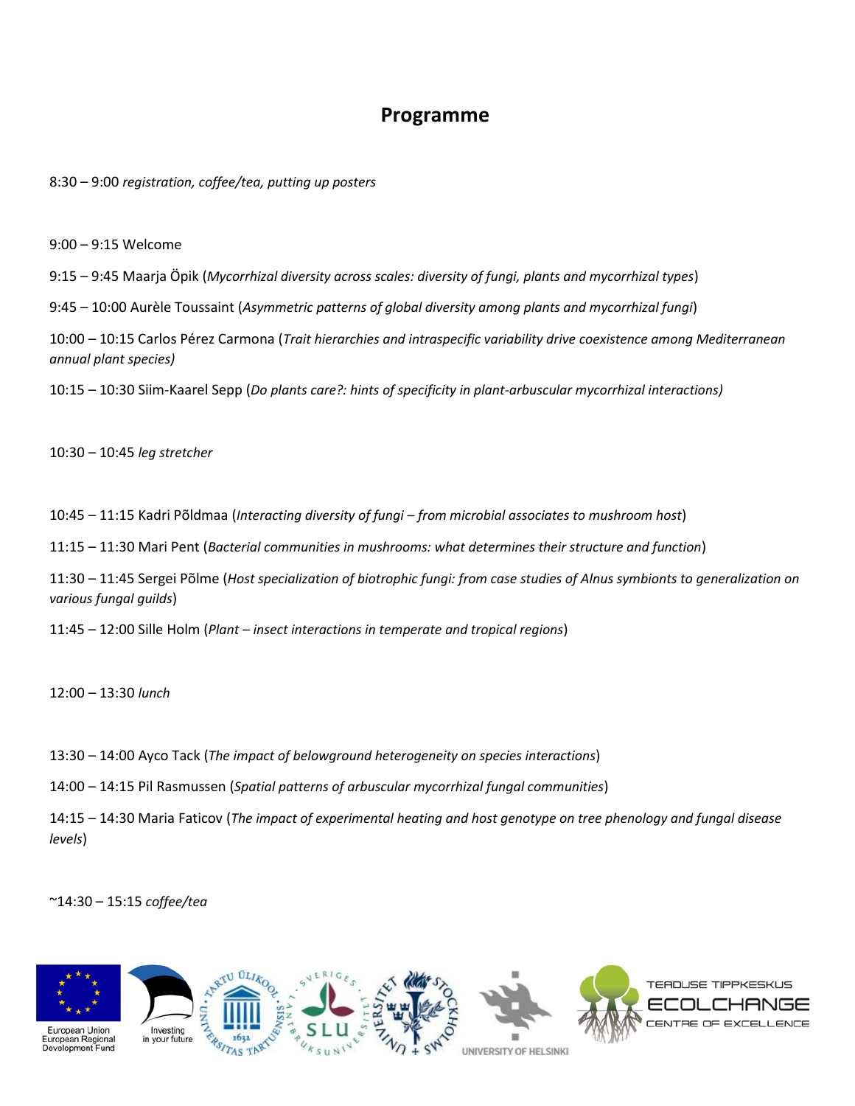## **Programme**

8:30 – 9:00 *registration, coffee/tea, putting up posters*

9:00 – 9:15 Welcome

9:15 – 9:45 Maarja Öpik (*Mycorrhizal diversity across scales: diversity of fungi, plants and mycorrhizal types*)

9:45 – 10:00 Aurèle Toussaint (*Asymmetric patterns of global diversity among plants and mycorrhizal fungi*)

10:00 – 10:15 Carlos Pérez Carmona (*Trait hierarchies and intraspecific variability drive coexistence among Mediterranean annual plant species)*

10:15 – 10:30 Siim-Kaarel Sepp (*Do plants care?: hints of specificity in plant-arbuscular mycorrhizal interactions)*

10:30 – 10:45 *leg stretcher*

10:45 – 11:15 Kadri Põldmaa (*Interacting diversity of fungi – from microbial associates to mushroom host*)

11:15 – 11:30 Mari Pent (*Bacterial communities in mushrooms: what determines their structure and function*)

11:30 – 11:45 Sergei Põlme (*Host specialization of biotrophic fungi: from case studies of Alnus symbionts to generalization on various fungal guilds*)

11:45 – 12:00 Sille Holm (*Plant – insect interactions in temperate and tropical regions*)

12:00 – 13:30 *lunch*

13:30 – 14:00 Ayco Tack (*The impact of belowground heterogeneity on species interactions*)

14:00 – 14:15 Pil Rasmussen (*Spatial patterns of arbuscular mycorrhizal fungal communities*)

14:15 – 14:30 Maria Faticov (*The impact of experimental heating and host genotype on tree phenology and fungal disease levels*)

~14:30 – 15:15 *coffee/tea*

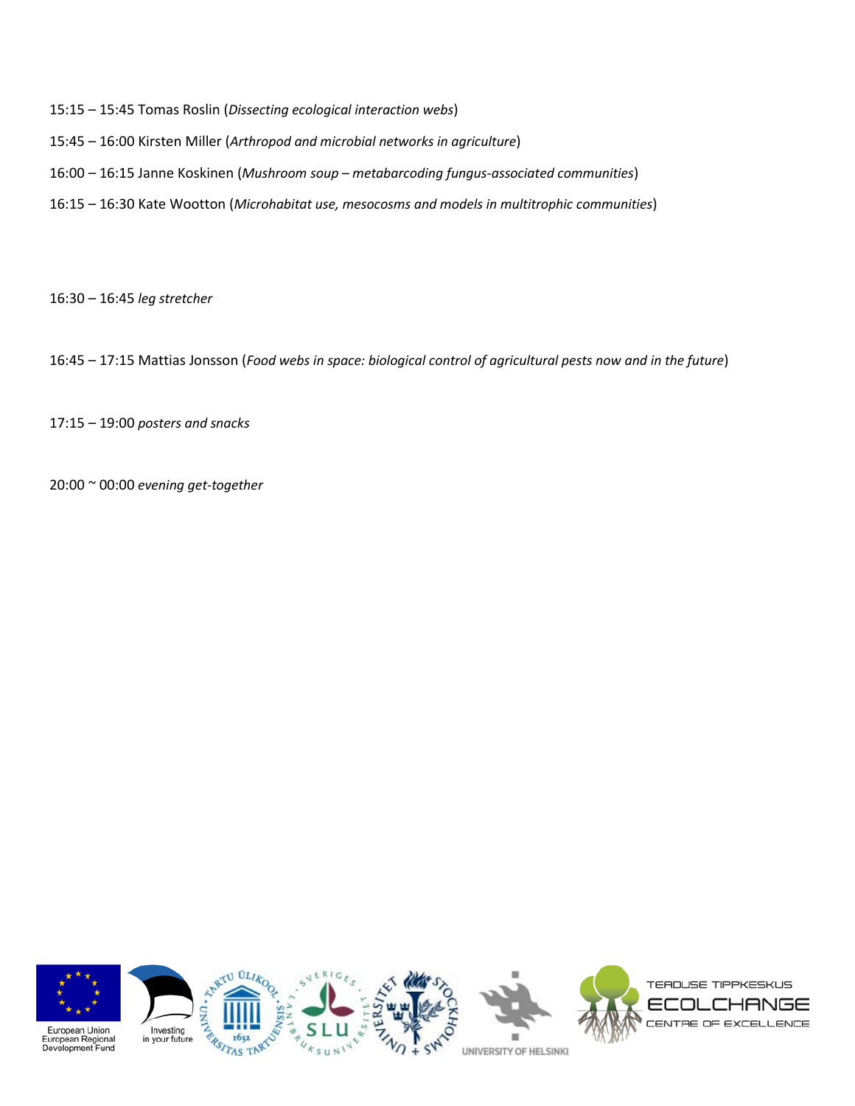- 15:15 15:45 Tomas Roslin (*Dissecting ecological interaction webs*)
- 15:45 16:00 Kirsten Miller (*Arthropod and microbial networks in agriculture*)
- 16:00 16:15 Janne Koskinen (*Mushroom soup – metabarcoding fungus-associated communities*)
- 16:15 16:30 Kate Wootton (*Microhabitat use, mesocosms and models in multitrophic communities*)

16:30 – 16:45 *leg stretcher*

16:45 – 17:15 Mattias Jonsson (*Food webs in space: biological control of agricultural pests now and in the future*)

17:15 – 19:00 *posters and snacks*

20:00 ~ 00:00 *evening get-together*

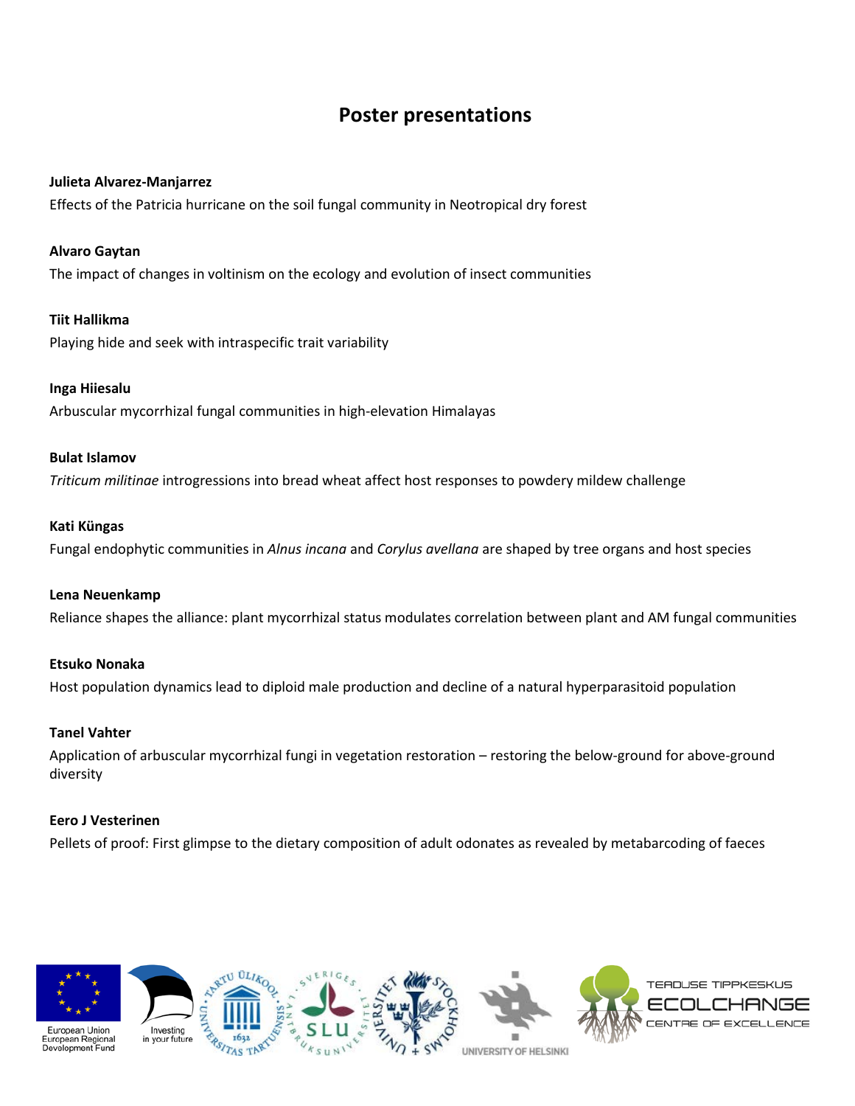# **Poster presentations**

#### **Julieta Alvarez-Manjarrez**

Effects of the Patricia hurricane on the soil fungal community in Neotropical dry forest

#### **Alvaro Gaytan**

The impact of changes in voltinism on the ecology and evolution of insect communities

#### **Tiit Hallikma**

Playing hide and seek with intraspecific trait variability

#### **Inga Hiiesalu**

Arbuscular mycorrhizal fungal communities in high-elevation Himalayas

#### **Bulat Islamov**

*Triticum militinae* introgressions into bread wheat affect host responses to powdery mildew challenge

#### **Kati Küngas**

Fungal endophytic communities in *Alnus incana* and *Corylus avellana* are shaped by tree organs and host species

#### **Lena Neuenkamp**

Reliance shapes the alliance: plant mycorrhizal status modulates correlation between plant and AM fungal communities

#### **Etsuko Nonaka**

Host population dynamics lead to diploid male production and decline of a natural hyperparasitoid population

#### **Tanel Vahter**

Application of arbuscular mycorrhizal fungi in vegetation restoration – restoring the below-ground for above-ground diversity

#### **Eero J Vesterinen**

Pellets of proof: First glimpse to the dietary composition of adult odonates as revealed by metabarcoding of faeces





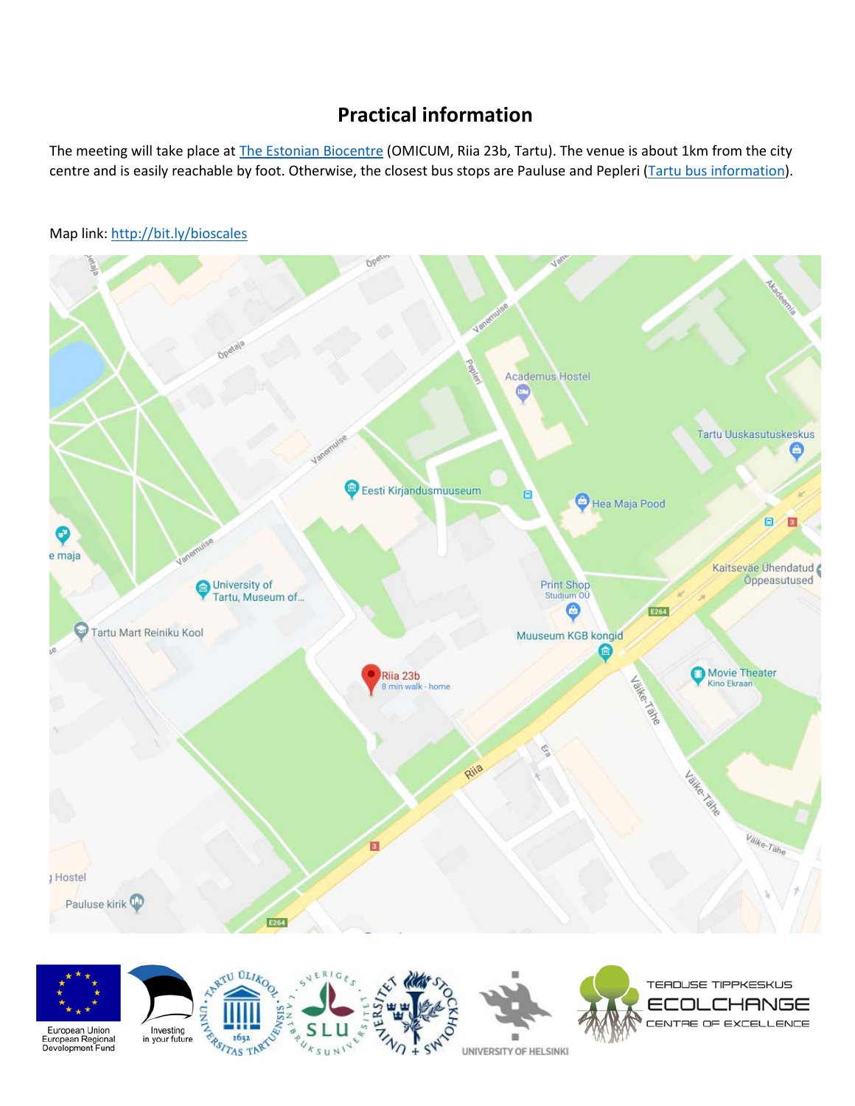# **Practical information**

The meeting will take place at [The Estonian Biocentre](http://www.ebc.ee/) (OMICUM, Riia 23b, Tartu). The venue is about 1km from the city centre and is easily reachable by foot. Otherwise, the closest bus stops are Pauluse and Pepleri [\(Tartu bus information\)](http://www.tartu.ee/en/inner-city-bus-transportation).



UNIVERSITY OF HELSINKI

 $S \cup N$ 

Map link[: http://bit.ly/bioscales](http://bit.ly/bioscales)

European Regional<br>Development Fund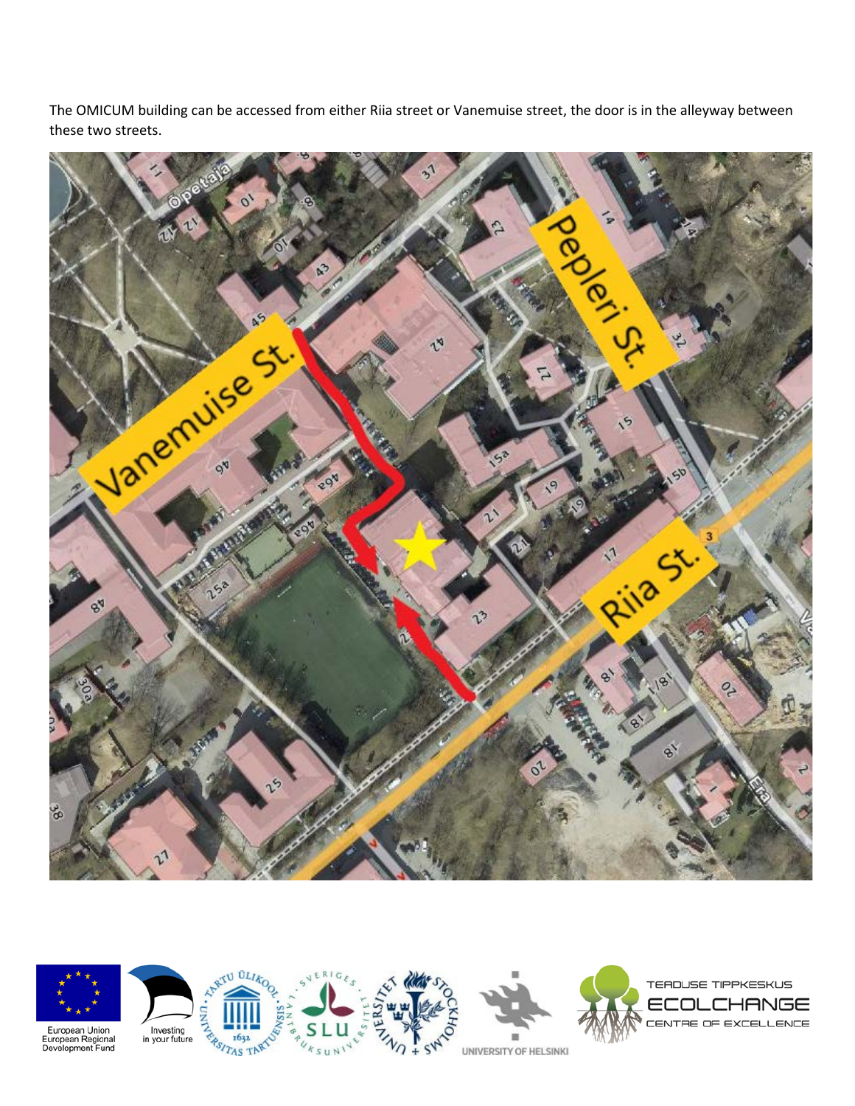The OMICUM building can be accessed from either Riia street or Vanemuise street, the door is in the alleyway between these two streets.







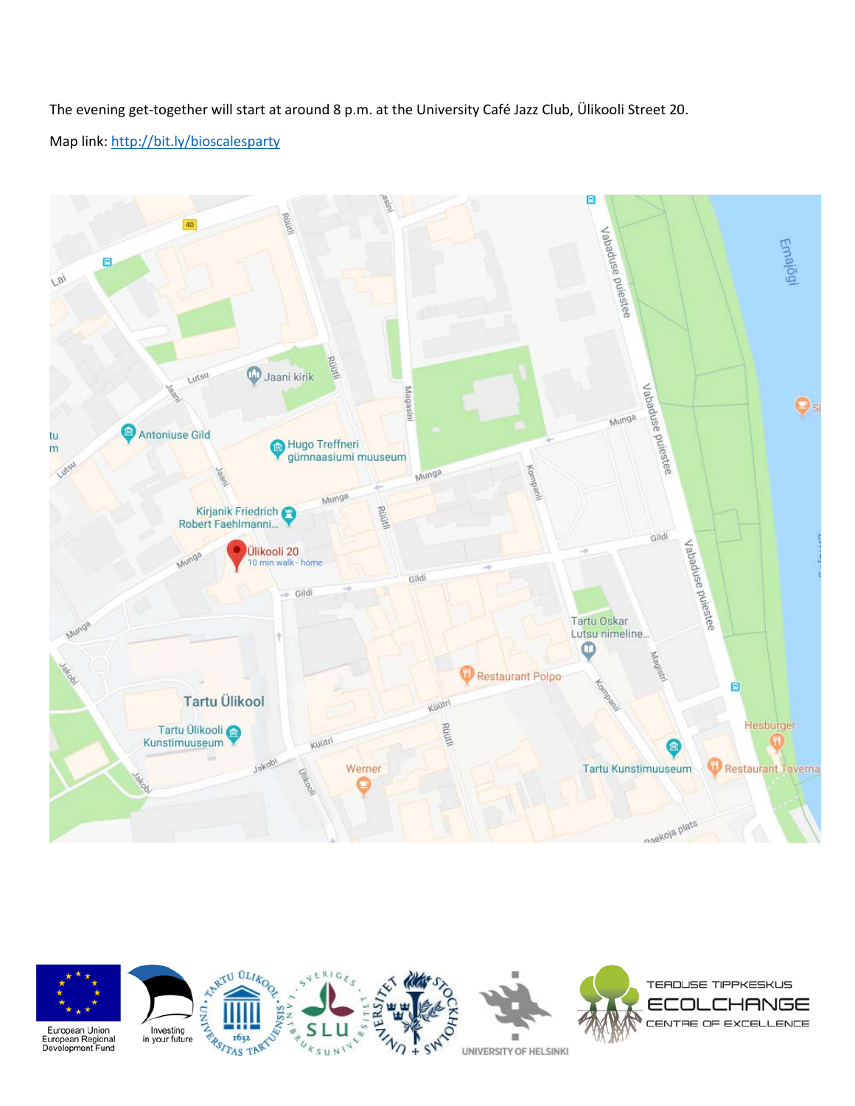The evening get-together will start at around 8 p.m. at the University Café Jazz Club, Ülikooli Street 20. Map link[: http://bit.ly/bioscalesparty](http://bit.ly/bioscalesparty)



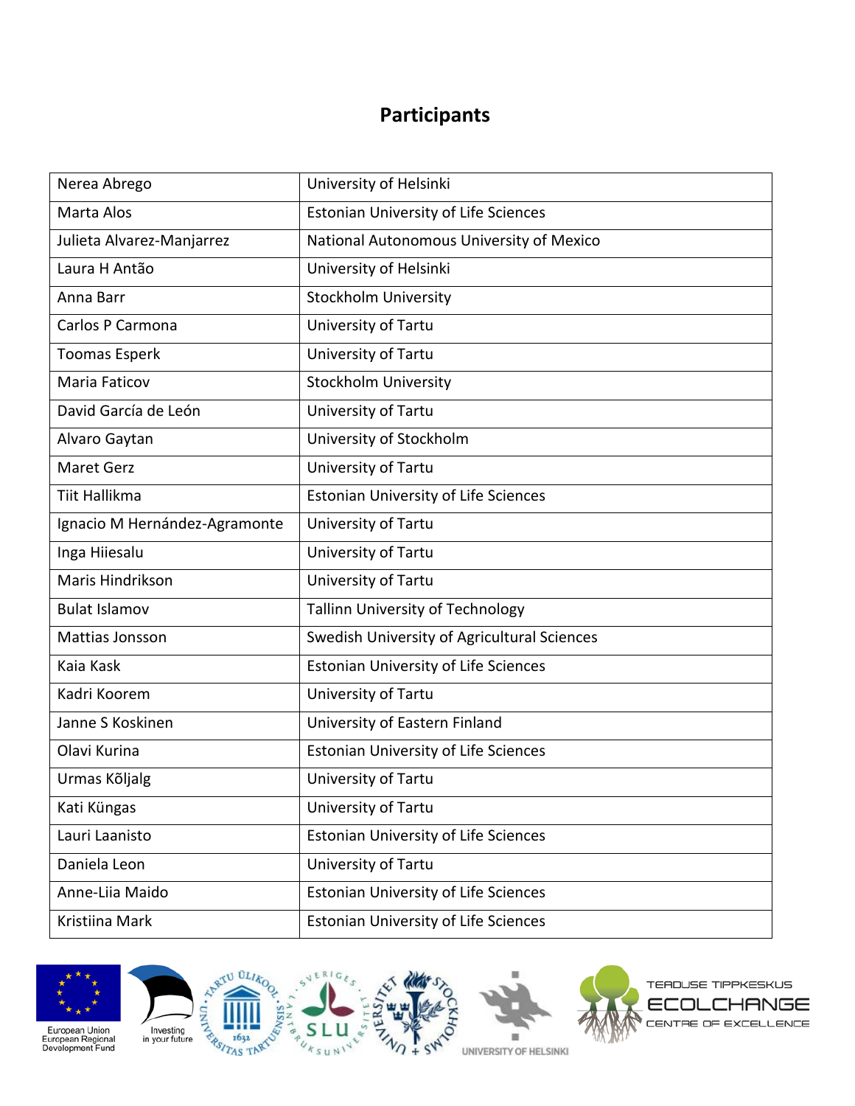# **Participants**

| Nerea Abrego                  | University of Helsinki                      |
|-------------------------------|---------------------------------------------|
| Marta Alos                    | <b>Estonian University of Life Sciences</b> |
| Julieta Alvarez-Manjarrez     | National Autonomous University of Mexico    |
| Laura H Antão                 | University of Helsinki                      |
| Anna Barr                     | <b>Stockholm University</b>                 |
| Carlos P Carmona              | University of Tartu                         |
| <b>Toomas Esperk</b>          | University of Tartu                         |
| Maria Faticov                 | <b>Stockholm University</b>                 |
| David García de León          | University of Tartu                         |
| Alvaro Gaytan                 | University of Stockholm                     |
| <b>Maret Gerz</b>             | University of Tartu                         |
| <b>Tiit Hallikma</b>          | <b>Estonian University of Life Sciences</b> |
| Ignacio M Hernández-Agramonte | University of Tartu                         |
| Inga Hiiesalu                 | University of Tartu                         |
| Maris Hindrikson              | University of Tartu                         |
| <b>Bulat Islamov</b>          | <b>Tallinn University of Technology</b>     |
| Mattias Jonsson               | Swedish University of Agricultural Sciences |
| Kaia Kask                     | <b>Estonian University of Life Sciences</b> |
| Kadri Koorem                  | University of Tartu                         |
| Janne S Koskinen              | University of Eastern Finland               |
| Olavi Kurina                  | <b>Estonian University of Life Sciences</b> |
| Urmas Kõljalg                 | University of Tartu                         |
| Kati Küngas                   | University of Tartu                         |
| Lauri Laanisto                | <b>Estonian University of Life Sciences</b> |
| Daniela Leon                  | University of Tartu                         |
| Anne-Liia Maido               | <b>Estonian University of Life Sciences</b> |
| Kristiina Mark                | <b>Estonian University of Life Sciences</b> |









European Union<br>European Regional<br>Development Fund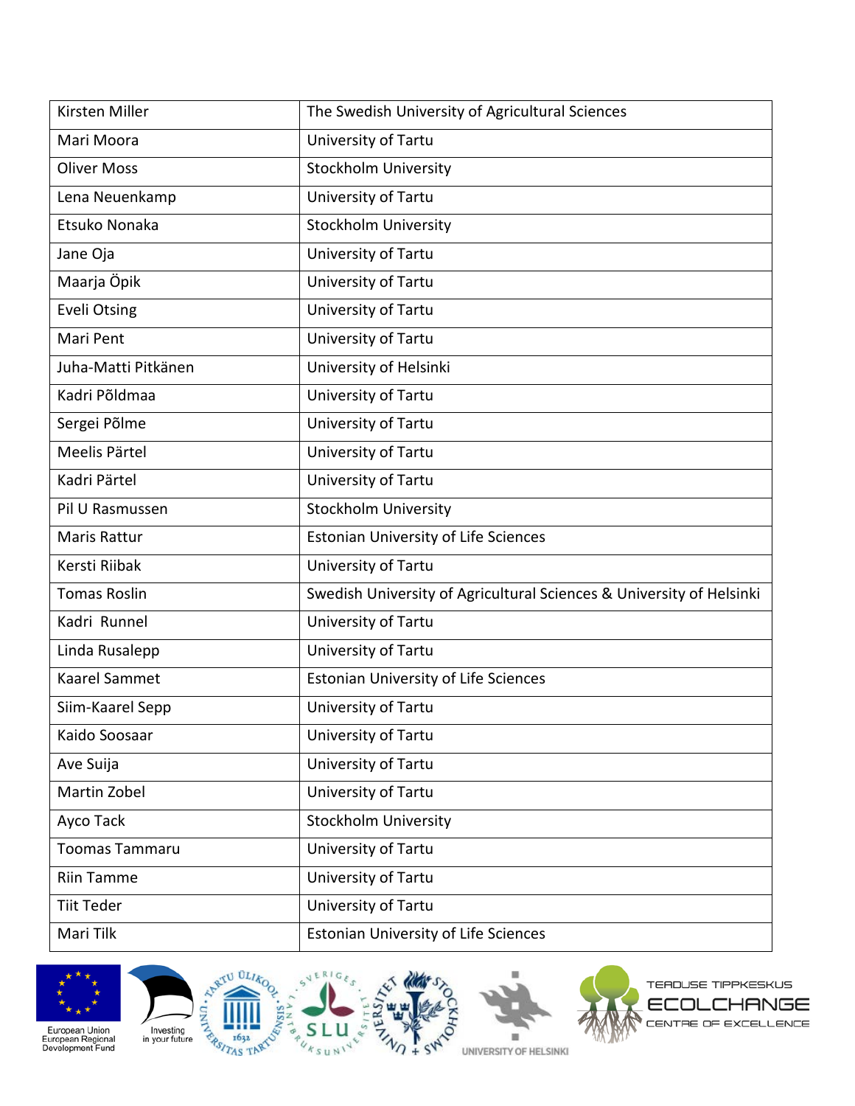| Kirsten Miller        | The Swedish University of Agricultural Sciences                      |
|-----------------------|----------------------------------------------------------------------|
| Mari Moora            | University of Tartu                                                  |
| <b>Oliver Moss</b>    | <b>Stockholm University</b>                                          |
| Lena Neuenkamp        | University of Tartu                                                  |
| Etsuko Nonaka         | <b>Stockholm University</b>                                          |
| Jane Oja              | University of Tartu                                                  |
| Maarja Öpik           | University of Tartu                                                  |
| <b>Eveli Otsing</b>   | University of Tartu                                                  |
| Mari Pent             | University of Tartu                                                  |
| Juha-Matti Pitkänen   | University of Helsinki                                               |
| Kadri Põldmaa         | University of Tartu                                                  |
| Sergei Põlme          | University of Tartu                                                  |
| Meelis Pärtel         | University of Tartu                                                  |
| Kadri Pärtel          | University of Tartu                                                  |
| Pil U Rasmussen       | <b>Stockholm University</b>                                          |
| <b>Maris Rattur</b>   | <b>Estonian University of Life Sciences</b>                          |
| Kersti Riibak         | University of Tartu                                                  |
| <b>Tomas Roslin</b>   | Swedish University of Agricultural Sciences & University of Helsinki |
| Kadri Runnel          | University of Tartu                                                  |
| Linda Rusalepp        | University of Tartu                                                  |
| Kaarel Sammet         | <b>Estonian University of Life Sciences</b>                          |
| Siim-Kaarel Sepp      | University of Tartu                                                  |
| Kaido Soosaar         | University of Tartu                                                  |
| Ave Suija             | University of Tartu                                                  |
| Martin Zobel          | University of Tartu                                                  |
| Ayco Tack             | <b>Stockholm University</b>                                          |
| <b>Toomas Tammaru</b> | University of Tartu                                                  |
| <b>Riin Tamme</b>     | University of Tartu                                                  |
| <b>Tiit Teder</b>     | University of Tartu                                                  |
| Mari Tilk             | <b>Estonian University of Life Sciences</b>                          |





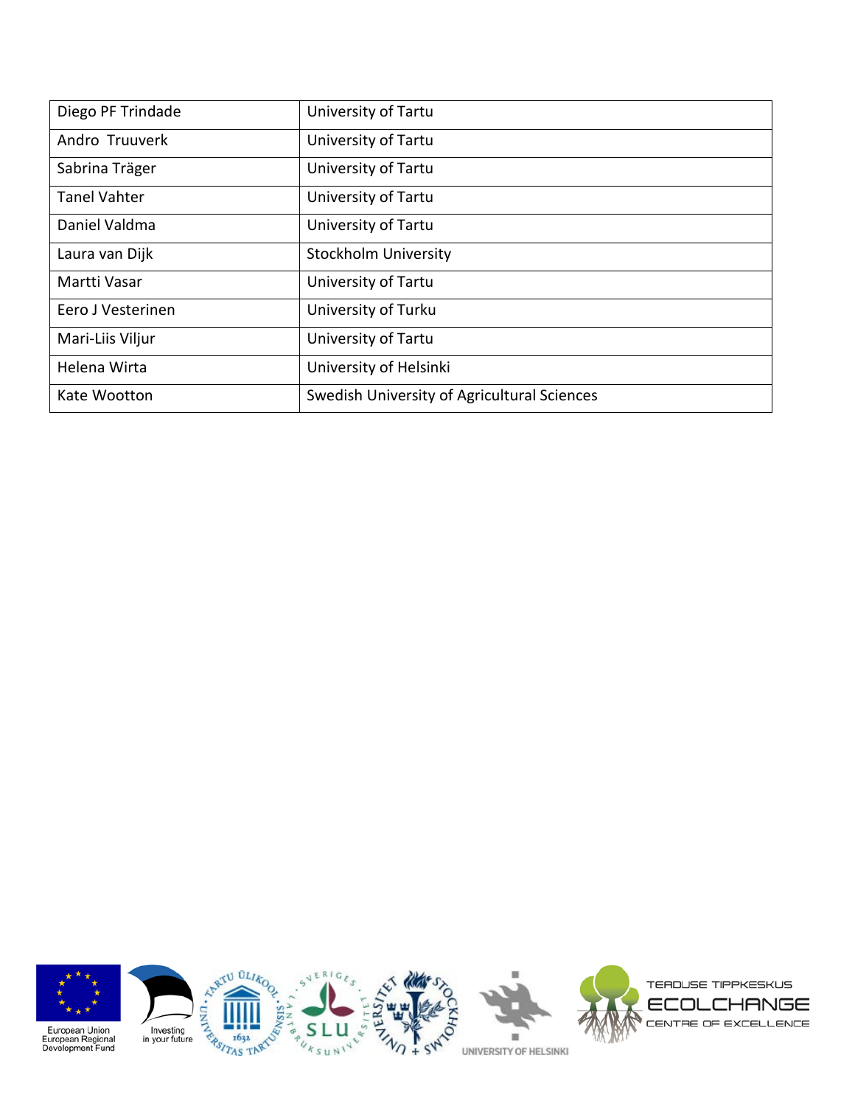| Diego PF Trindade   | University of Tartu                         |
|---------------------|---------------------------------------------|
| Andro Truuverk      | University of Tartu                         |
| Sabrina Träger      | University of Tartu                         |
| <b>Tanel Vahter</b> | University of Tartu                         |
| Daniel Valdma       | University of Tartu                         |
| Laura van Dijk      | <b>Stockholm University</b>                 |
| Martti Vasar        | University of Tartu                         |
| Eero J Vesterinen   | University of Turku                         |
| Mari-Liis Viljur    | University of Tartu                         |
| Helena Wirta        | University of Helsinki                      |
| Kate Wootton        | Swedish University of Agricultural Sciences |